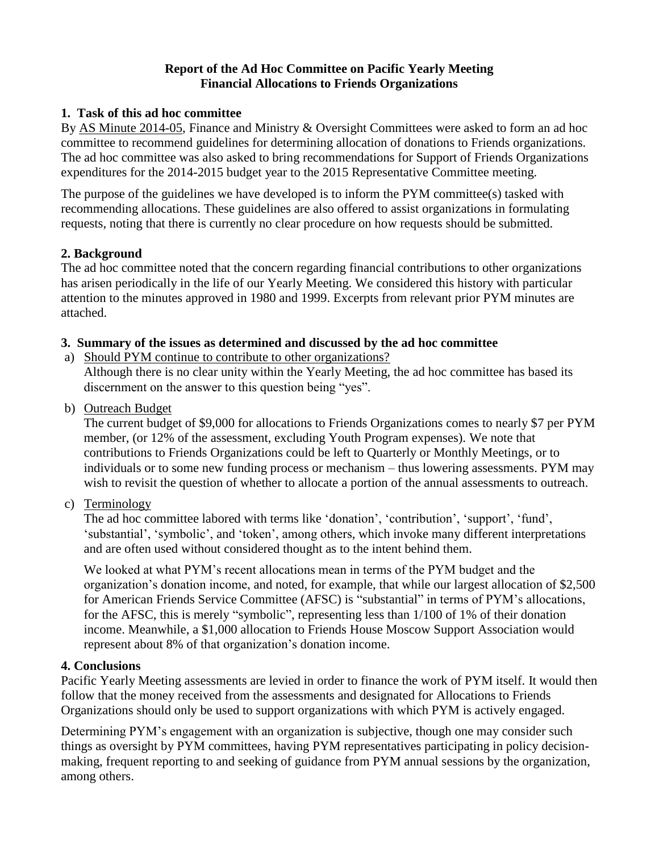### **Report of the Ad Hoc Committee on Pacific Yearly Meeting Financial Allocations to Friends Organizations**

### **1. Task of this ad hoc committee**

By AS Minute 2014-05, Finance and Ministry & Oversight Committees were asked to form an ad hoc committee to recommend guidelines for determining allocation of donations to Friends organizations. The ad hoc committee was also asked to bring recommendations for Support of Friends Organizations expenditures for the 2014-2015 budget year to the 2015 Representative Committee meeting.

The purpose of the guidelines we have developed is to inform the PYM committee(s) tasked with recommending allocations. These guidelines are also offered to assist organizations in formulating requests, noting that there is currently no clear procedure on how requests should be submitted.

### **2. Background**

The ad hoc committee noted that the concern regarding financial contributions to other organizations has arisen periodically in the life of our Yearly Meeting. We considered this history with particular attention to the minutes approved in 1980 and 1999. Excerpts from relevant prior PYM minutes are attached.

### **3. Summary of the issues as determined and discussed by the ad hoc committee**

a) Should PYM continue to contribute to other organizations?

Although there is no clear unity within the Yearly Meeting, the ad hoc committee has based its discernment on the answer to this question being "yes".

b) Outreach Budget

The current budget of \$9,000 for allocations to Friends Organizations comes to nearly \$7 per PYM member, (or 12% of the assessment, excluding Youth Program expenses). We note that contributions to Friends Organizations could be left to Quarterly or Monthly Meetings, or to individuals or to some new funding process or mechanism – thus lowering assessments. PYM may wish to revisit the question of whether to allocate a portion of the annual assessments to outreach.

c) Terminology

The ad hoc committee labored with terms like 'donation', 'contribution', 'support', 'fund', 'substantial', 'symbolic', and 'token', among others, which invoke many different interpretations and are often used without considered thought as to the intent behind them.

We looked at what PYM's recent allocations mean in terms of the PYM budget and the organization's donation income, and noted, for example, that while our largest allocation of \$2,500 for American Friends Service Committee (AFSC) is "substantial" in terms of PYM's allocations, for the AFSC, this is merely "symbolic", representing less than 1/100 of 1% of their donation income. Meanwhile, a \$1,000 allocation to Friends House Moscow Support Association would represent about 8% of that organization's donation income.

### **4. Conclusions**

Pacific Yearly Meeting assessments are levied in order to finance the work of PYM itself. It would then follow that the money received from the assessments and designated for Allocations to Friends Organizations should only be used to support organizations with which PYM is actively engaged.

Determining PYM's engagement with an organization is subjective, though one may consider such things as oversight by PYM committees, having PYM representatives participating in policy decisionmaking, frequent reporting to and seeking of guidance from PYM annual sessions by the organization, among others.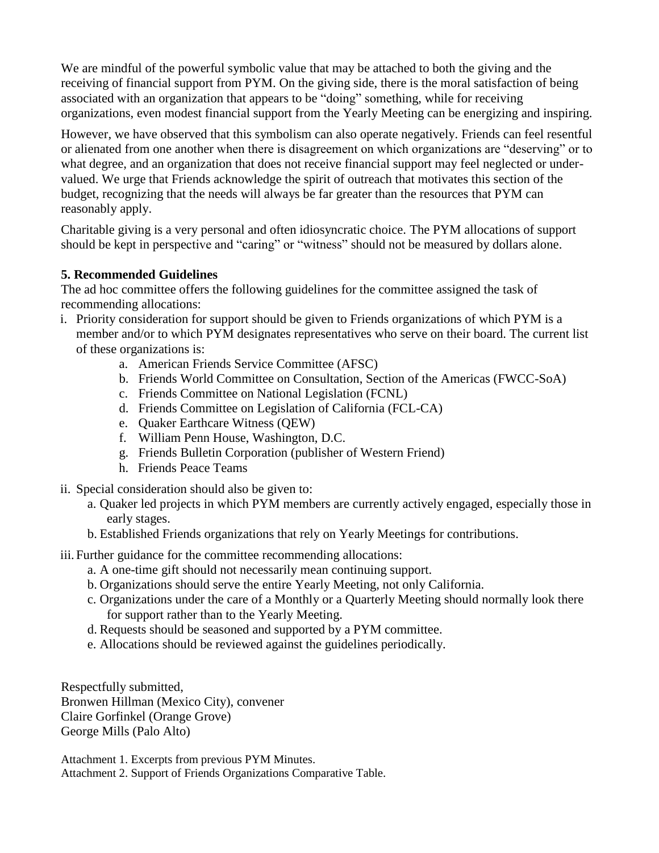We are mindful of the powerful symbolic value that may be attached to both the giving and the receiving of financial support from PYM. On the giving side, there is the moral satisfaction of being associated with an organization that appears to be "doing" something, while for receiving organizations, even modest financial support from the Yearly Meeting can be energizing and inspiring.

However, we have observed that this symbolism can also operate negatively. Friends can feel resentful or alienated from one another when there is disagreement on which organizations are "deserving" or to what degree, and an organization that does not receive financial support may feel neglected or undervalued. We urge that Friends acknowledge the spirit of outreach that motivates this section of the budget, recognizing that the needs will always be far greater than the resources that PYM can reasonably apply.

Charitable giving is a very personal and often idiosyncratic choice. The PYM allocations of support should be kept in perspective and "caring" or "witness" should not be measured by dollars alone.

### **5. Recommended Guidelines**

The ad hoc committee offers the following guidelines for the committee assigned the task of recommending allocations:

- i. Priority consideration for support should be given to Friends organizations of which PYM is a member and/or to which PYM designates representatives who serve on their board. The current list of these organizations is:
	- a. American Friends Service Committee (AFSC)
	- b. Friends World Committee on Consultation, Section of the Americas (FWCC-SoA)
	- c. Friends Committee on National Legislation (FCNL)
	- d. Friends Committee on Legislation of California (FCL-CA)
	- e. Quaker Earthcare Witness (QEW)
	- f. William Penn House, Washington, D.C.
	- g. Friends Bulletin Corporation (publisher of Western Friend)
	- h. Friends Peace Teams
- ii. Special consideration should also be given to:
	- a. Quaker led projects in which PYM members are currently actively engaged, especially those in early stages.
	- b. Established Friends organizations that rely on Yearly Meetings for contributions.
- iii. Further guidance for the committee recommending allocations:
	- a. A one-time gift should not necessarily mean continuing support.
	- b. Organizations should serve the entire Yearly Meeting, not only California.
	- c. Organizations under the care of a Monthly or a Quarterly Meeting should normally look there for support rather than to the Yearly Meeting.
	- d. Requests should be seasoned and supported by a PYM committee.
	- e. Allocations should be reviewed against the guidelines periodically.

Respectfully submitted, Bronwen Hillman (Mexico City), convener Claire Gorfinkel (Orange Grove) George Mills (Palo Alto)

Attachment 1. Excerpts from previous PYM Minutes. Attachment 2. Support of Friends Organizations Comparative Table.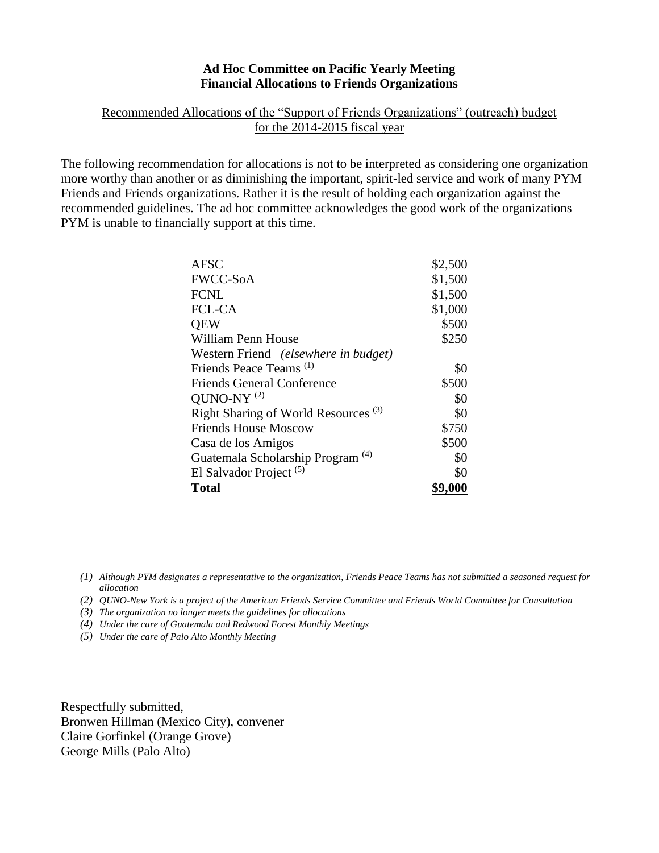### **Ad Hoc Committee on Pacific Yearly Meeting Financial Allocations to Friends Organizations**

### Recommended Allocations of the "Support of Friends Organizations" (outreach) budget for the 2014-2015 fiscal year

The following recommendation for allocations is not to be interpreted as considering one organization more worthy than another or as diminishing the important, spirit-led service and work of many PYM Friends and Friends organizations. Rather it is the result of holding each organization against the recommended guidelines. The ad hoc committee acknowledges the good work of the organizations PYM is unable to financially support at this time.

| <b>AFSC</b>                                     | \$2,500 |
|-------------------------------------------------|---------|
| <b>FWCC-SoA</b>                                 | \$1,500 |
| <b>FCNL</b>                                     | \$1,500 |
| <b>FCL-CA</b>                                   | \$1,000 |
| <b>OEW</b>                                      | \$500   |
| William Penn House                              | \$250   |
| Western Friend <i>(elsewhere in budget)</i>     |         |
| Friends Peace Teams <sup>(1)</sup>              | \$0     |
| <b>Friends General Conference</b>               | \$500   |
| QUNO-NY $(2)$                                   | \$0     |
| Right Sharing of World Resources <sup>(3)</sup> | \$0     |
| <b>Friends House Moscow</b>                     | \$750   |
| Casa de los Amigos                              | \$500   |
| Guatemala Scholarship Program <sup>(4)</sup>    | \$0     |
| El Salvador Project <sup>(5)</sup>              | \$0     |
| <b>Total</b>                                    | \$9,000 |

*(1) Although PYM designates a representative to the organization, Friends Peace Teams has not submitted a seasoned request for allocation*

*(2) QUNO-New York is a project of the American Friends Service Committee and Friends World Committee for Consultation*

*(3) The organization no longer meets the guidelines for allocations*

*(4) Under the care of Guatemala and Redwood Forest Monthly Meetings*

*(5) Under the care of Palo Alto Monthly Meeting*

Respectfully submitted, Bronwen Hillman (Mexico City), convener Claire Gorfinkel (Orange Grove) George Mills (Palo Alto)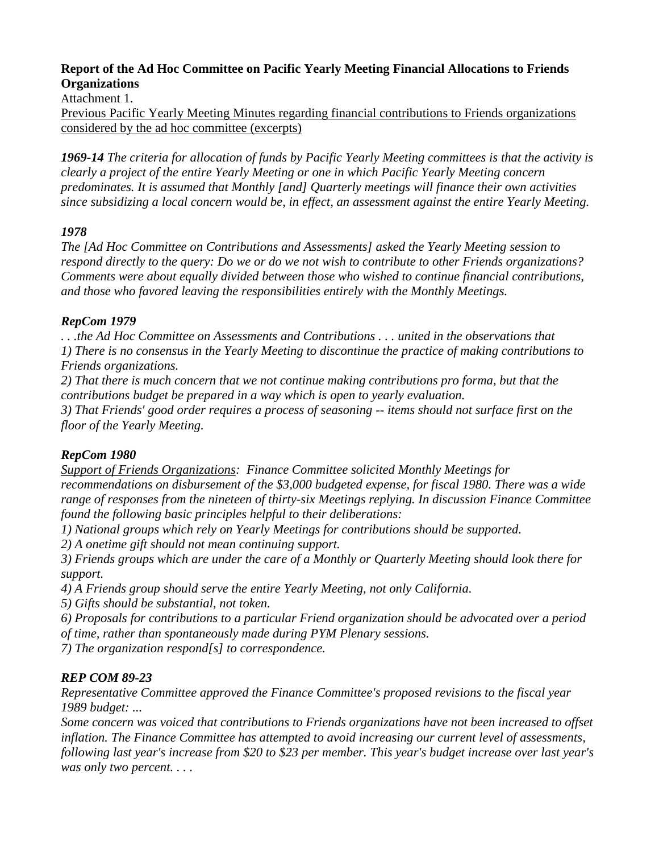## **Report of the Ad Hoc Committee on Pacific Yearly Meeting Financial Allocations to Friends Organizations**

Attachment 1.

Previous Pacific Yearly Meeting Minutes regarding financial contributions to Friends organizations considered by the ad hoc committee (excerpts)

*1969-14 The criteria for allocation of funds by Pacific Yearly Meeting committees is that the activity is clearly a project of the entire Yearly Meeting or one in which Pacific Yearly Meeting concern predominates. It is assumed that Monthly [and] Quarterly meetings will finance their own activities since subsidizing a local concern would be, in effect, an assessment against the entire Yearly Meeting.*

## *1978*

*The [Ad Hoc Committee on Contributions and Assessments] asked the Yearly Meeting session to respond directly to the query: Do we or do we not wish to contribute to other Friends organizations? Comments were about equally divided between those who wished to continue financial contributions, and those who favored leaving the responsibilities entirely with the Monthly Meetings.* 

### *RepCom 1979*

*. . .the Ad Hoc Committee on Assessments and Contributions . . . united in the observations that 1) There is no consensus in the Yearly Meeting to discontinue the practice of making contributions to Friends organizations.*

*2) That there is much concern that we not continue making contributions pro forma, but that the contributions budget be prepared in a way which is open to yearly evaluation.*

*3) That Friends' good order requires a process of seasoning -- items should not surface first on the floor of the Yearly Meeting.*

## *RepCom 1980*

*Support of Friends Organizations: Finance Committee solicited Monthly Meetings for recommendations on disbursement of the \$3,000 budgeted expense, for fiscal 1980. There was a wide range of responses from the nineteen of thirty-six Meetings replying. In discussion Finance Committee found the following basic principles helpful to their deliberations:*

*1) National groups which rely on Yearly Meetings for contributions should be supported.*

*2) A onetime gift should not mean continuing support.*

*3) Friends groups which are under the care of a Monthly or Quarterly Meeting should look there for support.*

*4) A Friends group should serve the entire Yearly Meeting, not only California.*

*5) Gifts should be substantial, not token.*

*6) Proposals for contributions to a particular Friend organization should be advocated over a period of time, rather than spontaneously made during PYM Plenary sessions.*

*7) The organization respond[s] to correspondence.*

# *REP COM 89-23*

*Representative Committee approved the Finance Committee's proposed revisions to the fiscal year 1989 budget: ...*

*Some concern was voiced that contributions to Friends organizations have not been increased to offset inflation. The Finance Committee has attempted to avoid increasing our current level of assessments, following last year's increase from \$20 to \$23 per member. This year's budget increase over last year's was only two percent. . . .*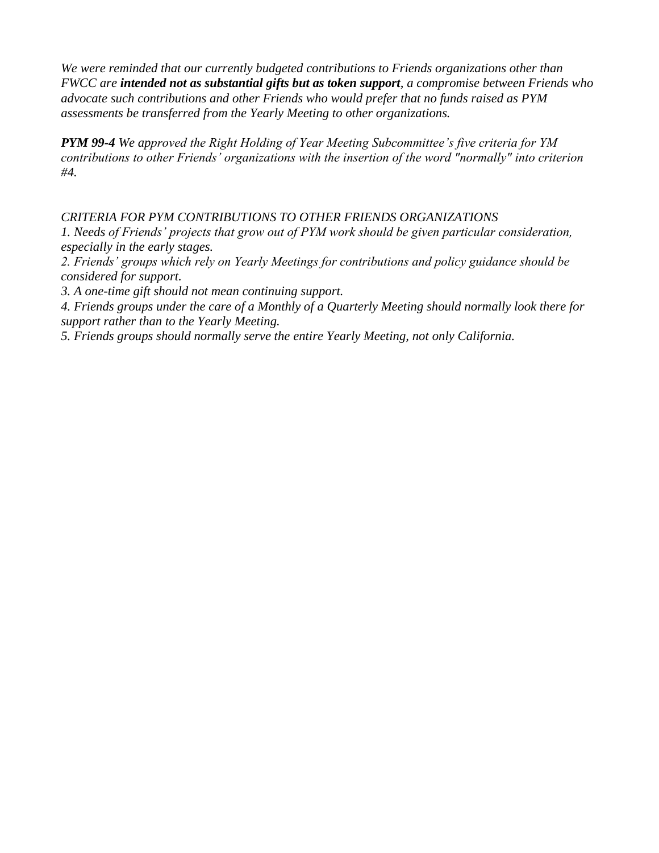*We were reminded that our currently budgeted contributions to Friends organizations other than FWCC are intended not as substantial gifts but as token support, a compromise between Friends who advocate such contributions and other Friends who would prefer that no funds raised as PYM assessments be transferred from the Yearly Meeting to other organizations.*

*PYM 99-4 We approved the Right Holding of Year Meeting Subcommittee's five criteria for YM contributions to other Friends' organizations with the insertion of the word "normally" into criterion #4.*

### *CRITERIA FOR PYM CONTRIBUTIONS TO OTHER FRIENDS ORGANIZATIONS*

*1. Needs of Friends' projects that grow out of PYM work should be given particular consideration, especially in the early stages.*

*2. Friends' groups which rely on Yearly Meetings for contributions and policy guidance should be considered for support.*

*3. A one-time gift should not mean continuing support.*

*4. Friends groups under the care of a Monthly of a Quarterly Meeting should normally look there for support rather than to the Yearly Meeting.*

*5. Friends groups should normally serve the entire Yearly Meeting, not only California.*